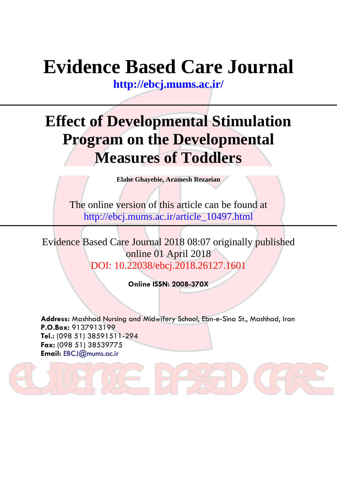# **Evidence Based Care Journal**

**<http://ebcj.mums.ac.ir/>**

## **Effect of Developmental Stimulation Program on the Developmental Measures of Toddlers**

**Elahe Ghayebie, Aramesh Rezaeian**

The online version of this article can be found at http://ebcj.mums.ac.ir/article\_10497.html

Evidence Based Care Journal 2018 08:07 originally published online 01 April 2018 DOI: 10.22038/ebcj.2018.26127.1601

**Online ISSN: 2008-370X**

**Address:** Mashhad Nursing and Midwifery School, Ebn-e-Sina St., Mashhad, Iran **P.O.Box:** 9137913199 **Tel.:** (098 51) 38591511-294 **Fax:** (098 51) 38539775 **Email:** [EBCJ@mums.ac.ir](mailto:EBCJ@mums.ac.ir)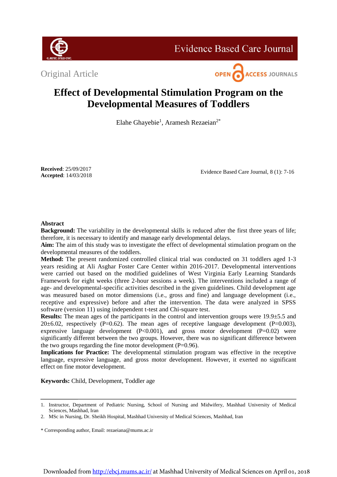

**Evidence Based Care Journal** 

Original Article



### **Effect of Developmental Stimulation Program on the Developmental Measures of Toddlers**

Elahe Ghayebie<sup>1</sup>, Aramesh Rezaeian<sup>2\*</sup>

**Received**: 25/09/2017 **Accepted**: 14/03/2018

Evidence Based Care Journal, 8 (1): 7-16

#### **Abstract**

**Background:** The variability in the developmental skills is reduced after the first three years of life; therefore, it is necessary to identify and manage early developmental delays.

**Aim:** The aim of this study was to investigate the effect of developmental stimulation program on the developmental measures of the toddlers.

**Method:** The present randomized controlled clinical trial was conducted on 31 toddlers aged 1-3 years residing at Ali Asghar Foster Care Center within 2016-2017. Developmental interventions were carried out based on the modified guidelines of West Virginia Early Learning Standards Framework for eight weeks (three 2-hour sessions a week). The interventions included a range of age- and developmental-specific activities described in the given guidelines. Child development age was measured based on motor dimensions (i.e., gross and fine) and language development (i.e., receptive and expressive) before and after the intervention. The data were analyzed in SPSS software (version 11) using independent t-test and Chi-square test.

**Results:** The mean ages of the participants in the control and intervention groups were 19.9 $\pm$ 5.5 and 20 $\pm$ 6.02, respectively (P=0.62). The mean ages of receptive language development (P=0.003), expressive language development  $(P<0.001)$ , and gross motor development  $(P=0.02)$  were significantly different between the two groups. However, there was no significant difference between the two groups regarding the fine motor development  $(P=0.96)$ .

**Implications for Practice:** The developmental stimulation program was effective in the receptive language, expressive language, and gross motor development. However, it exerted no significant effect on fine motor development.

**Keywords:** Child, Development, Toddler age

\* Corresponding author, Email: rezaeiana@mums.ac.ir

<sup>1.</sup> Instructor, Department of Pediatric Nursing, School of Nursing and Midwifery, Mashhad University of Medical Sciences, Mashhad, Iran

<sup>2.</sup> MSc in Nursing, Dr. Sheikh Hospital, Mashhad University of Medical Sciences, Mashhad, Iran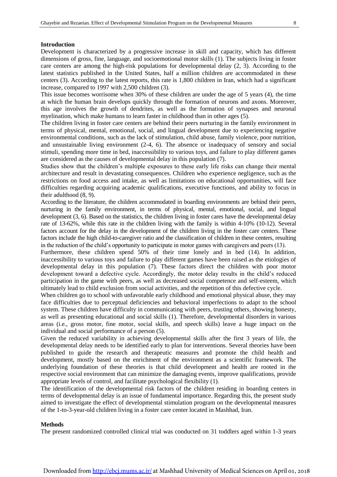#### **Introduction**

Development is characterized by a progressive increase in skill and capacity, which has different dimensions of gross, fine, language, and socioemotional motor skills (1). The subjects living in foster care centers are among the high-risk populations for developmental delay (2, 3). According to the latest statistics published in the United States, half a million children are accommodated in these centers (3). According to the latest reports, this rate is 1,800 children in Iran, which had a significant increase, compared to 1997 with 2,500 children (3).

This issue becomes worrisome when 30% of these children are under the age of 5 years (4), the time at which the human brain develops quickly through the formation of neurons and axons. Moreover, this age involves the growth of dendrites, as well as the formation of synapses and neuronal myelination, which make humans to learn faster in childhood than in other ages (5).

The children living in foster care centers are behind their peers nurturing in the family environment in terms of physical, mental, emotional, social, and lingual development due to experiencing negative environmental conditions, such as the lack of stimulation, child abuse, family violence, poor nutrition, and unsustainable living environment (2-4, 6). The absence or inadequacy of sensory and social stimuli, spending more time in bed, inaccessibility to various toys, and failure to play different games are considered as the causes of developmental delay in this population (7).

Studies show that the children's multiple exposures to these early life risks can change their mental architecture and result in devastating consequences. Children who experience negligence, such as the restrictions on food access and intake, as well as limitations on educational opportunities, will face difficulties regarding acquiring academic qualifications, executive functions, and ability to focus in their adulthood (8, 9).

According to the literature, the children accommodated in boarding environments are behind their peers, nurturing in the family environment, in terms of physical, mental, emotional, social, and lingual development (3, 6). Based on the statistics, the children living in foster cares have the developmental delay rate of 13-62%, while this rate in the children living with the family is within 4-10% (10-12). Several factors account for the delay in the development of the children living in the foster care centers. These factors include the high child-to-caregiver ratio and the classification of children in these centers, resulting in the reduction of the child's opportunity to participate in motor games with caregivers and peers (13).

Furthermore, these children spend 50% of their time lonely and in bed (14). In addition, inaccessibility to various toys and failure to play different games have been raised as the etiologies of developmental delay in this population (7). These factors direct the children with poor motor development toward a defective cycle. Accordingly, the motor delay results in the child's reduced participation in the game with peers, as well as decreased social competence and self-esteem, which ultimately lead to child exclusion from social activities, and the repetition of this defective cycle.

When children go to school with unfavorable early childhood and emotional physical abuse, they may face difficulties due to perceptual deficiencies and behavioral imperfections to adapt to the school system. These children have difficulty in communicating with peers, trusting others, showing honesty, as well as presenting educational and social skills (1). Therefore, developmental disorders in various areas (i.e., gross motor, fine motor, social skills, and speech skills) leave a huge impact on the individual and social performance of a person (5).

Given the reduced variability in achieving developmental skills after the first 3 years of life, the developmental delay needs to be identified early to plan for interventions. Several theories have been published to guide the research and therapeutic measures and promote the child health and development, mostly based on the enrichment of the environment as a scientific framework. The underlying foundation of these theories is that child development and health are rooted in the respective social environment that can minimize the damaging events, improve qualifications, provide appropriate levels of control, and facilitate psychological flexibility (1).

The identification of the developmental risk factors of the children residing in boarding centers in terms of developmental delay is an issue of fundamental importance. Regarding this, the present study aimed to investigate the effect of developmental stimulation program on the developmental measures of the 1-to-3-year-old children living in a foster care center located in Mashhad, Iran.

#### **Methods**

The present randomized controlled clinical trial was conducted on 31 toddlers aged within 1-3 years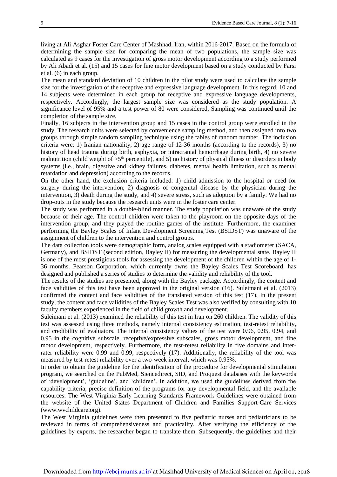living at Ali Asghar Foster Care Center of Mashhad, Iran, within 2016-2017. Based on the formula of determining the sample size for comparing the mean of two populations, the sample size was calculated as 9 cases for the investigation of gross motor development according to a study performed by Ali Abadi et al. (15) and 15 cases for fine motor development based on a study conducted by Farsi et al. (6) in each group.

The mean and standard deviation of 10 children in the pilot study were used to calculate the sample size for the investigation of the receptive and expressive language development. In this regard, 10 and 14 subjects were determined in each group for receptive and expressive language developments, respectively. Accordingly, the largest sample size was considered as the study population. A significance level of 95% and a test power of 80 were considered. Sampling was continued until the completion of the sample size.

Finally, 16 subjects in the intervention group and 15 cases in the control group were enrolled in the study. The research units were selected by convenience sampling method, and then assigned into two groups through simple random sampling technique using the tables of random number. The inclusion criteria were: 1) Iranian nationality, 2) age range of 12-36 months (according to the records), 3) no history of head trauma during birth, asphyxia, or intracranial hemorrhage during birth, 4) no severe malnutrition (child weight of  $>5<sup>th</sup>$  percentile), and 5) no history of physical illness or disorders in body systems (i.e., brain, digestive and kidney failures, diabetes, mental health limitation, such as mental retardation and depression) according to the records.

On the other hand, the exclusion criteria included: 1) child admission to the hospital or need for surgery during the intervention, 2) diagnosis of congenital disease by the physician during the intervention, 3) death during the study, and 4) severe stress, such as adoption by a family. We had no drop-outs in the study because the research units were in the foster care center.

The study was performed in a double-blind manner. The study population was unaware of the study because of their age. The control children were taken to the playroom on the opposite days of the intervention group, and they played the routine games of the institute. Furthermore, the examiner performing the Bayley Scales of Infant Development Screening Test (BSIDST) was unaware of the assignment of children to the intervention and control groups.

The data collection tools were demographic form, analog scales equipped with a stadiometer (SACA, Germany), and BSIDST (second edition, Bayley II) for measuring the developmental state. Bayley II is one of the most prestigious tools for assessing the development of the children within the age of 1- 36 months. Pearson Corporation, which currently owns the Bayley Scales Test Scoreboard, has designed and published a series of studies to determine the validity and reliability of the tool.

The results of the studies are presented, along with the Bayley package. Accordingly, the content and face validities of this test have been approved in the original version (16). Suleimani et al. (2013) confirmed the content and face validities of the translated version of this test (17). In the present study, the content and face validities of the Bayley Scales Test was also verified by consulting with 10 faculty members experienced in the field of child growth and development.

Suleimani et al. (2013) examined the reliability of this test in Iran on 260 children. The validity of this test was assessed using three methods, namely internal consistency estimation, test-retest reliability, and credibility of evaluators. The internal consistency values of the test were 0.96, 0.95, 0.94, and 0.95 in the cognitive subscale, receptive/expressive subscales, gross motor development, and fine motor development, respectively. Furthermore, the test-retest reliability in five domains and interrater reliability were 0.99 and 0.99, respectively (17). Additionally, the reliability of the tool was measured by test-retest reliability over a two-week interval, which was 0.95%.

In order to obtain the guideline for the identification of the procedure for developmental stimulation program, we searched on the PubMed, Siencedirect, SID, and Proquest databases with the keywords of 'development', 'guideline', and 'children'. In addition, we used the guidelines derived from the capability criteria, precise definition of the programs for any developmental field, and the available resources. The West Virginia Early Learning Standards Framework Guidelines were obtained from the website of the United States Department of Children and Families Support-Care Services (www.wvchildcare.org).

The West Virginia guidelines were then presented to five pediatric nurses and pediatricians to be reviewed in terms of comprehensiveness and practicality. After verifying the efficiency of the guidelines by experts, the researcher began to translate them. Subsequently, the guidelines and their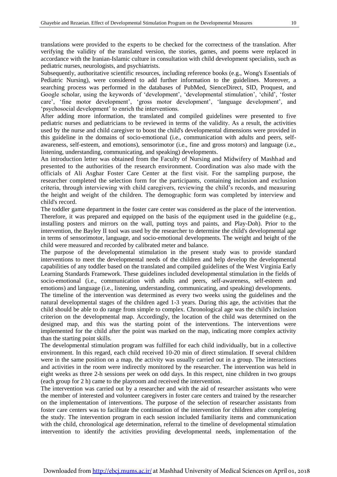translations were provided to the experts to be checked for the correctness of the translation. After verifying the validity of the translated version, the stories, games, and poems were replaced in accordance with the Iranian-Islamic culture in consultation with child development specialists, such as pediatric nurses, neurologists, and psychiatrists.

Subsequently, authoritative scientific resources, including reference books (e.g., Wong's Essentials of Pediatric Nursing), were considered to add further information to the guidelines. Moreover, a searching process was performed in the databases of PubMed, SienceDirect, SID, Proquest, and Google scholar, using the keywords of 'development', 'developmental stimulation', 'child', 'foster care', 'fine motor development', 'gross motor development', 'language development', and 'psychosocial development' to enrich the interventions.

After adding more information, the translated and compiled guidelines were presented to five pediatric nurses and pediatricians to be reviewed in terms of the validity. As a result, the activities used by the nurse and child caregiver to boost the child's developmental dimensions were provided in this guideline in the domains of socio-emotional (i.e., communication with adults and peers, selfawareness, self-esteem, and emotions), sensorimotor (i.e., fine and gross motors) and language (i.e., listening, understanding, communicating, and speaking) developments.

An introduction letter was obtained from the Faculty of Nursing and Midwifery of Mashhad and presented to the authorities of the research environment. Coordination was also made with the officials of Ali Asghar Foster Care Center at the first visit. For the sampling purpose, the researcher completed the selection form for the participants, containing inclusion and exclusion criteria, through interviewing with child caregivers, reviewing the child's records, and measuring the height and weight of the children. The demographic form was completed by interview and child's record.

The toddler game department in the foster care center was considered as the place of the intervention. Therefore, it was prepared and equipped on the basis of the equipment used in the guideline (e.g., installing posters and mirrors on the wall, putting toys and paints, and Play-Doh). Prior to the intervention, the Bayley II tool was used by the researcher to determine the child's developmental age in terms of sensorimotor, language, and socio-emotional developments. The weight and height of the child were measured and recorded by calibrated meter and balance.

The purpose of the developmental stimulation in the present study was to provide standard interventions to meet the developmental needs of the children and help develop the developmental capabilities of any toddler based on the translated and compiled guidelines of the West Virginia Early Learning Standards Framework. These guidelines included developmental stimulation in the fields of socio-emotional (i.e., communication with adults and peers, self-awareness, self-esteem and emotions) and language (i.e., listening, understanding, communicating, and speaking) developments.

The timeline of the intervention was determined as every two weeks using the guidelines and the natural developmental stages of the children aged 1-3 years. During this age, the activities that the child should be able to do range from simple to complex. Chronological age was the child's inclusion criterion on the developmental map. Accordingly, the location of the child was determined on the designed map, and this was the starting point of the interventions. The interventions were implemented for the child after the point was marked on the map, indicating more complex activity than the starting point skills.

The developmental stimulation program was fulfilled for each child individually, but in a collective environment. In this regard, each child received 10-20 min of direct stimulation. If several children were in the same position on a map, the activity was usually carried out in a group. The interactions and activities in the room were indirectly monitored by the researcher. The intervention was held in eight weeks as three 2-h sessions per week on odd days. In this respect, nine children in two groups (each group for 2 h) came to the playroom and received the intervention.

The intervention was carried out by a researcher and with the aid of researcher assistants who were the member of interested and volunteer caregivers in foster care centers and trained by the researcher on the implementation of interventions. The purpose of the selection of researcher assistants from foster care centers was to facilitate the continuation of the intervention for children after completing the study. The intervention program in each session included familiarity items and communication with the child, chronological age determination, referral to the timeline of developmental stimulation intervention to identify the activities providing developmental needs, implementation of the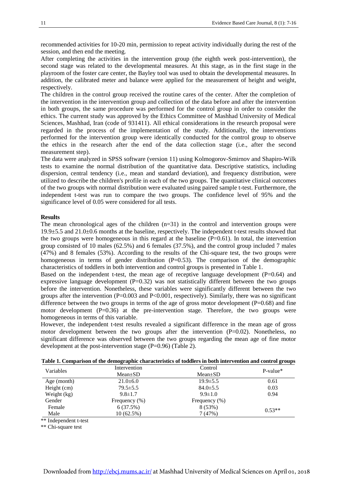recommended activities for 10-20 min, permission to repeat activity individually during the rest of the session, and then end the meeting.

After completing the activities in the intervention group (the eighth week post-intervention), the second stage was related to the developmental measures. At this stage, as in the first stage in the playroom of the foster care center, the Bayley tool was used to obtain the developmental measures. In addition, the calibrated meter and balance were applied for the measurement of height and weight, respectively.

The children in the control group received the routine cares of the center. After the completion of the intervention in the intervention group and collection of the data before and after the intervention in both groups, the same procedure was performed for the control group in order to consider the ethics. The current study was approved by the Ethics Committee of Mashhad University of Medical Sciences, Mashhad, Iran (code of 931411). All ethical considerations in the research proposal were regarded in the process of the implementation of the study. Additionally, the interventions performed for the intervention group were identically conducted for the control group to observe the ethics in the research after the end of the data collection stage (i.e., after the second measurement step).

The data were analyzed in SPSS software (version 11) using Kolmogorov-Smirnov and Shapiro-Wilk tests to examine the normal distribution of the quantitative data. Descriptive statistics, including dispersion, central tendency (i.e., mean and standard deviation), and frequency distribution, were utilized to describe the children's profile in each of the two groups. The quantitative clinical outcomes of the two groups with normal distribution were evaluated using paired sample t-test. Furthermore, the independent t-test was run to compare the two groups. The confidence level of 95% and the significance level of 0.05 were considered for all tests.

#### **Results**

The mean chronological ages of the children  $(n=31)$  in the control and intervention groups were 19.9±5.5 and 21.0±0.6 months at the baseline, respectively. The independent t-test results showed that the two groups were homogeneous in this regard at the baseline  $(P=0.61)$ . In total, the intervention group consisted of 10 males (62.5%) and 6 females (37.5%), and the control group included 7 males (47%) and 8 females (53%). According to the results of the Chi-square test, the two groups were homogeneous in terms of gender distribution  $(P=0.53)$ . The comparison of the demographic characteristics of toddlers in both intervention and control groups is presented in Table 1.

Based on the independent t-test, the mean age of receptive language development  $(P=0.64)$  and expressive language development (P=0.32) was not statistically different between the two groups before the intervention. Nonetheless, these variables were significantly different between the two groups after the intervention (P=0.003 and P<0.001, respectively). Similarly, there was no significant difference between the two groups in terms of the age of gross motor development  $(P=0.68)$  and fine motor development  $(P=0.36)$  at the pre-intervention stage. Therefore, the two groups were homogeneous in terms of this variable.

However, the independent t-test results revealed a significant difference in the mean age of gross motor development between the two groups after the intervention (P=0.02). Nonetheless, no significant difference was observed between the two groups regarding the mean age of fine motor development at the post-intervention stage (P=0.96) (Table 2).

| Variables   | Intervention   | Control          | $P-value*$ |
|-------------|----------------|------------------|------------|
|             | $Mean \pm SD$  | $Mean \pm SD$    |            |
| Age (month) | $21.0+6.0$     | $19.9 \pm 5.5$   | 0.61       |
| Height (cm) | $79.5 \pm 5.5$ | $84.0 \pm 5.5$   | 0.03       |
| Weight (kg) | $9.8 \pm 1.7$  | $9.9 \pm 1.0$    | 0.94       |
| Gender      | Frequency (%)  | Frequency $(\%)$ |            |
| Female      | 6(37.5%)       | 8(53%)           | $0.53**$   |
| Male        | $10(62.5\%)$   | 7(47%)           |            |

**Table 1. Comparison of the demographic characteristics of toddlers in both intervention and control groups**

\*\* Independent t-test

\*\* Chi-square test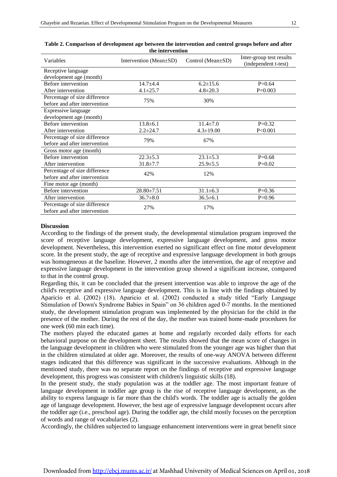| Variables                                                      | Intervention (Mean±SD) | Control (Mean±SD) | Inter-group test results<br>(independent t-test) |
|----------------------------------------------------------------|------------------------|-------------------|--------------------------------------------------|
| Receptive language                                             |                        |                   |                                                  |
| development age (month)                                        |                        |                   |                                                  |
| Before intervention                                            | $14.7 + 4.4$           | $6.2 \pm 15.6$    | $P=0.64$                                         |
| After intervention                                             | $4.1 \pm 25.7$         | $4.8 \pm 20.3$    | $P=0.003$                                        |
| Percentage of size difference<br>before and after intervention | 75%                    | 30%               |                                                  |
| Expressive language<br>development age (month)                 |                        |                   |                                                  |
| Before intervention                                            | $13.8 \pm 6.1$         | $11.4 \pm 7.0$    | $P=0.32$                                         |
| After intervention                                             | $2.2 \pm 24.7$         | $4.3 \pm 19.00$   | P<0.001                                          |
| Percentage of size difference<br>before and after intervention | 79%                    | 67%               |                                                  |
| Gross motor age (month)                                        |                        |                   |                                                  |
| Before intervention                                            | $22.3 \pm 5.3$         | $23.1 \pm 5.3$    | $P=0.68$                                         |
| After intervention                                             | $31.8 \pm 7.7$         | $25.9 \pm 5.5$    | $P=0.02$                                         |
| Percentage of size difference<br>before and after intervention | 42%                    | 12%               |                                                  |
| Fine motor age (month)                                         |                        |                   |                                                  |
| Before intervention                                            | 28.80±7.51             | $31.1 \pm 6.3$    | $P=0.36$                                         |
| After intervention                                             | $36.7 \pm 8.0$         | $36.5 \pm 6.1$    | $P=0.96$                                         |
| Percentage of size difference<br>before and after intervention | 27%                    | 17%               |                                                  |

**Table 2. Comparison of development age between the intervention and control groups before and after the intervention**

#### **Discussion**

According to the findings of the present study, the developmental stimulation program improved the score of receptive language development, expressive language development, and gross motor development. Nevertheless, this intervention exerted no significant effect on fine motor development score. In the present study, the age of receptive and expressive language development in both groups was homogeneous at the baseline. However, 2 months after the intervention, the age of receptive and expressive language development in the intervention group showed a significant increase, compared to that in the control group.

Regarding this, it can be concluded that the present intervention was able to improve the age of the child's receptive and expressive language development. This is in line with the findings obtained by Aparicio et al. (2002) (18). Aparicio et al. (2002) conducted a study titled "Early Language Stimulation of Down's Syndrome Babies in Spain" on 36 children aged 0-7 months. In the mentioned study, the development stimulation program was implemented by the physician for the child in the presence of the mother. During the rest of the day, the mother was trained home-made procedures for one week (60 min each time).

The mothers played the educated games at home and regularly recorded daily efforts for each behavioral purpose on the development sheet. The results showed that the mean score of changes in the language development in children who were stimulated from the younger age was higher than that in the children stimulated at older age. Moreover, the results of one-way ANOVA between different stages indicated that this difference was significant in the successive evaluations. Although in the mentioned study, there was no separate report on the findings of receptive and expressive language development, this progress was consistent with children's linguistic skills (18).

In the present study, the study population was at the toddler age. The most important feature of language development in toddler age group is the rise of receptive language development, as the ability to express language is far more than the child's words. The toddler age is actually the golden age of language development. However, the best age of expressive language development occurs after the toddler age (i.e., preschool age). During the toddler age, the child mostly focuses on the perception of words and range of vocabularies (2).

Accordingly, the children subjected to language enhancement interventions were in great benefit since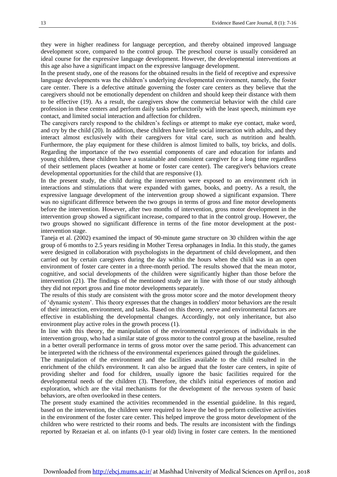they were in higher readiness for language perception, and thereby obtained improved language development score, compared to the control group. The preschool course is usually considered an ideal course for the expressive language development. However, the developmental interventions at this age also have a significant impact on the expressive language development.

In the present study, one of the reasons for the obtained results in the field of receptive and expressive language developments was the children's underlying developmental environment, namely, the foster care center. There is a defective attitude governing the foster care centers as they believe that the caregivers should not be emotionally dependent on children and should keep their distance with them to be effective (19). As a result, the caregivers show the commercial behavior with the child care profession in these centers and perform daily tasks perfunctorily with the least speech, minimum eye contact, and limited social interaction and affection for children.

The caregivers rarely respond to the children's feelings or attempt to make eye contact, make word, and cry by the child (20). In addition, these children have little social interaction with adults, and they interact almost exclusively with their caregivers for vital care, such as nutrition and health. Furthermore, the play equipment for these children is almost limited to balls, toy bricks, and dolls. Regarding the importance of the two essential components of care and education for infants and young children, these children have a sustainable and consistent caregiver for a long time regardless of their settlement places (weather at home or foster care center). The caregiver's behaviors create developmental opportunities for the child that are responsive (1).

In the present study, the child during the intervention were exposed to an environment rich in interactions and stimulations that were expanded with games, books, and poetry. As a result, the expressive language development of the intervention group showed a significant expansion. There was no significant difference between the two groups in terms of gross and fine motor developments before the intervention. However, after two months of intervention, gross motor development in the intervention group showed a significant increase, compared to that in the control group. However, the two groups showed no significant difference in terms of the fine motor development at the postintervention stage.

Taneja et al. (2002) examined the impact of 90-minute game structure on 30 children within the age group of 6 months to 2.5 years residing in Mother Teresa orphanages in India. In this study, the games were designed in collaboration with psychologists in the department of child development, and then carried out by certain caregivers during the day within the hours when the child was in an open environment of foster care center in a three-month period. The results showed that the mean motor, cognitive, and social developments of the children were significantly higher than those before the intervention (21). The findings of the mentioned study are in line with those of our study although they did not report gross and fine motor developments separately.

The results of this study are consistent with the gross motor score and the motor development theory of 'dynamic system'. This theory expresses that the changes in toddlers' motor behaviors are the result of their interaction, environment, and tasks. Based on this theory, nerve and environmental factors are effective in establishing the developmental changes. Accordingly, not only inheritance, but also environment play active roles in the growth process (1).

In line with this theory, the manipulation of the environmental experiences of individuals in the intervention group, who had a similar state of gross motor to the control group at the baseline, resulted in a better overall performance in terms of gross motor over the same period. This advancement can be interpreted with the richness of the environmental experiences gained through the guidelines.

The manipulation of the environment and the facilities available to the child resulted in the enrichment of the child's environment. It can also be argued that the foster care centers, in spite of providing shelter and food for children, usually ignore the basic facilities required for the developmental needs of the children (3). Therefore, the child's initial experiences of motion and exploration, which are the vital mechanisms for the development of the nervous system of basic behaviors, are often overlooked in these centers.

The present study examined the activities recommended in the essential guideline. In this regard, based on the intervention, the children were required to leave the bed to perform collective activities in the environment of the foster care center. This helped improve the gross motor development of the children who were restricted to their rooms and beds. The results are inconsistent with the findings reported by Rezaeian et al. on infants (0-1 year old) living in foster care centers. In the mentioned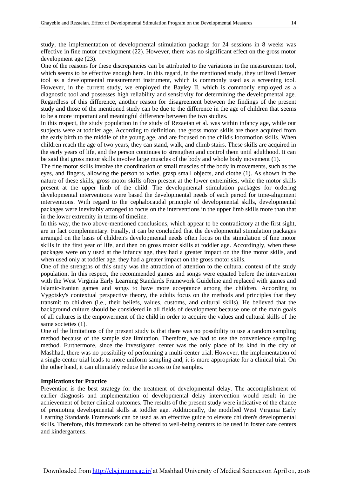study, the implementation of developmental stimulation package for 24 sessions in 8 weeks was effective in fine motor development (22). However, there was no significant effect on the gross motor development age (23).

One of the reasons for these discrepancies can be attributed to the variations in the measurement tool, which seems to be effective enough here. In this regard, in the mentioned study, they utilized Denver tool as a developmental measurement instrument, which is commonly used as a screening tool. However, in the current study, we employed the Bayley II, which is commonly employed as a diagnostic tool and possesses high reliability and sensitivity for determining the developmental age. Regardless of this difference, another reason for disagreement between the findings of the present study and those of the mentioned study can be due to the difference in the age of children that seems to be a more important and meaningful difference between the two studies.

In this respect, the study population in the study of Rezaeian et al. was within infancy age, while our subjects were at toddler age. According to definition, the gross motor skills are those acquired from the early birth to the middle of the young age, and are focused on the child's locomotion skills. When children reach the age of two years, they can stand, walk, and climb stairs. These skills are acquired in the early years of life, and the person continues to strengthen and control them until adulthood. It can be said that gross motor skills involve large muscles of the body and whole body movement (1).

The fine motor skills involve the coordination of small muscles of the body in movements, such as the eyes, and fingers, allowing the person to write, grasp small objects, and clothe (1). As shown in the nature of these skills, gross motor skills often present at the lower extremities, while the motor skills present at the upper limb of the child. The developmental stimulation packages for ordering developmental interventions were based the developmental needs of each period for time-alignment interventions. With regard to the cephalocaudal principle of developmental skills, developmental packages were inevitably arranged to focus on the interventions in the upper limb skills more than that in the lower extremity in terms of timeline.

In this way, the two above-mentioned conclusions, which appear to be contradictory at the first sight, are in fact complementary. Finally, it can be concluded that the developmental stimulation packages arranged on the basis of children's developmental needs often focus on the stimulation of fine motor skills in the first year of life, and then on gross motor skills at toddler age. Accordingly, when these packages were only used at the infancy age, they had a greater impact on the fine motor skills, and when used only at toddler age, they had a greater impact on the gross motor skills.

One of the strengths of this study was the attraction of attention to the cultural context of the study population. In this respect, the recommended games and songs were equated before the intervention with the West Virginia Early Learning Standards Framework Guideline and replaced with games and Islamic-Iranian games and songs to have more acceptance among the children. According to Vygotsky's contextual perspective theory, the adults focus on the methods and principles that they transmit to children (i.e., their beliefs, values, customs, and cultural skills). He believed that the background culture should be considered in all fields of development because one of the main goals of all cultures is the empowerment of the child in order to acquire the values and cultural skills of the same societies (1).

One of the limitations of the present study is that there was no possibility to use a random sampling method because of the sample size limitation. Therefore, we had to use the convenience sampling method. Furthermore, since the investigated center was the only place of its kind in the city of Mashhad, there was no possibility of performing a multi-center trial. However, the implementation of a single-center trial leads to more uniform sampling and, it is more appropriate for a clinical trial. On the other hand, it can ultimately reduce the access to the samples.

#### **Implications for Practice**

Prevention is the best strategy for the treatment of developmental delay. The accomplishment of earlier diagnosis and implementation of developmental delay intervention would result in the achievement of better clinical outcomes. The results of the present study were indicative of the chance of promoting developmental skills at toddler age. Additionally, the modified West Virginia Early Learning Standards Framework can be used as an effective guide to elevate children's developmental skills. Therefore, this framework can be offered to well-being centers to be used in foster care centers and kindergartens.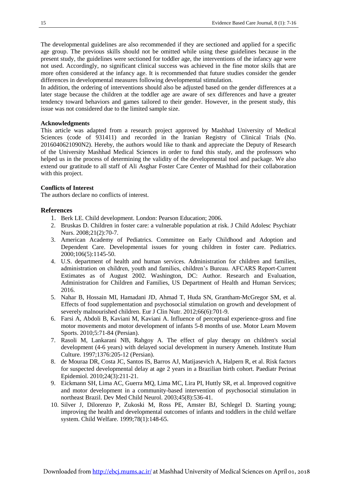The developmental guidelines are also recommended if they are sectioned and applied for a specific age group. The previous skills should not be omitted while using these guidelines because in the present study, the guidelines were sectioned for toddler age, the interventions of the infancy age were not used. Accordingly, no significant clinical success was achieved in the fine motor skills that are more often considered at the infancy age. It is recommended that future studies consider the gender differences in developmental measures following developmental stimulation.

In addition, the ordering of interventions should also be adjusted based on the gender differences at a later stage because the children at the toddler age are aware of sex differences and have a greater tendency toward behaviors and games tailored to their gender. However, in the present study, this issue was not considered due to the limited sample size.

#### **Acknowledgments**

This article was adapted from a research project approved by Mashhad University of Medical Sciences (code of 931411) and recorded in the Iranian Registry of Clinical Trials (No. 2016040621090N2). Hereby, the authors would like to thank and appreciate the Deputy of Research of the University Mashhad Medical Sciences in order to fund this study, and the professors who helped us in the process of determining the validity of the developmental tool and package. We also extend our gratitude to all staff of Ali Asghar Foster Care Center of Mashhad for their collaboration with this project.

#### **Conflicts of Interest**

The authors declare no conflicts of interest.

#### **References**

- 1. Berk LE. Child development. London: Pearson Education; 2006.
- 2. Bruskas D. Children in foster care: a vulnerable population at risk. J Child Adolesc Psychiatr Nurs. 2008;21(2):70-7.
- 3. American Academy of Pediatrics. Committee on Early Childhood and Adoption and Dependent Care. Developmental issues for young children in foster care. Pediatrics. 2000;106(5):1145-50.
- 4. U.S. department of health and human services. Administration for children and families, administration on children, youth and families, children's Bureau. AFCARS Report-Current Estimates as of August 2002. Washington, DC: Author. Research and Evaluation, Administration for Children and Families, US Department of Health and Human Services; 2016.
- 5. Nahar B, Hossain MI, Hamadani JD, Ahmad T, Huda SN, Grantham-McGregor SM, et al. Effects of food supplementation and psychosocial stimulation on growth and development of severely malnourished children. Eur J Clin Nutr. 2012;66(6):701-9.
- 6. Farsi A, Abdoli B, Kaviani M, Kaviani A. Influence of perceptual experience-gross and fine motor movements and motor development of infants 5-8 months of use. Motor Learn Movem Sports. 2010;5:71-84 (Persian).
- 7. Rasoli M, Lankarani NB, Rahgoy A. The effect of play therapy on children's social development (4-6 years) with delayed social development in nursery Ameneh. Institute Hum Culture. 1997;1376:205-12 (Persian).
- 8. de Mouraa DR, Costa JC, Santos IS, Barros AJ, Matijasevich A, Halpern R, et al. Risk factors for suspected developmental delay at age 2 years in a Brazilian birth cohort. Paediatr Perinat Epidemiol. 2010;24(3):211-21.
- 9. Eickmann SH, Lima AC, Guerra MQ, Lima MC, Lira PI, Huttly SR, et al. Improved cognitive and motor development in a community-based intervention of psychosocial stimulation in northeast Brazil. Dev Med Child Neurol. 2003;45(8):536-41.
- 10. Silver J, Dilorenzo P, Zukoski M, Ross PE, Amster BJ, Schlegel D. Starting young; improving the health and developmental outcomes of infants and toddlers in the child welfare system. Child Welfare. 1999;78(1):148-65.